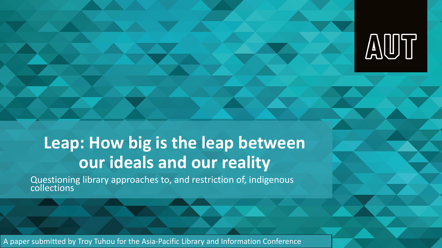

#### **Leap: How big is the leap between our ideals and our reality**

Questioning library approaches to, and restriction of, indigenous collections

A paper submitted by Troy Tuhou for the Asia-Pacific Library and Information Conference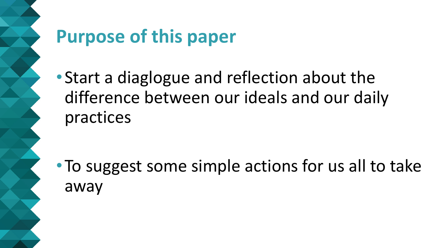# **Purpose of this paper**

•Start a diaglogue and reflection about the difference between our ideals and our daily practices

•To suggest some simple actions for us all to take away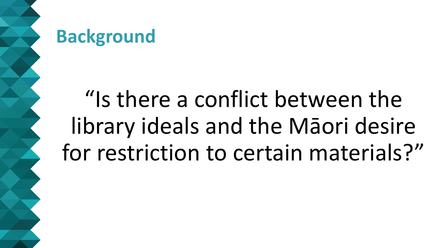

## **Background**

# "Is there a conflict between the library ideals and the Māori desire for restriction to certain materials?"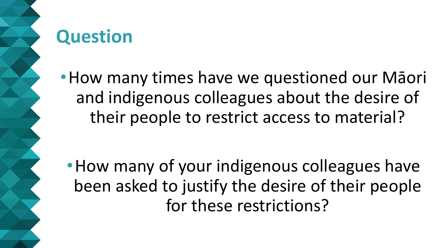

# **Question**

•How many times have we questioned our Māori and indigenous colleagues about the desire of their people to restrict access to material?

• How many of your indigenous colleagues have been asked to justify the desire of their people for these restrictions?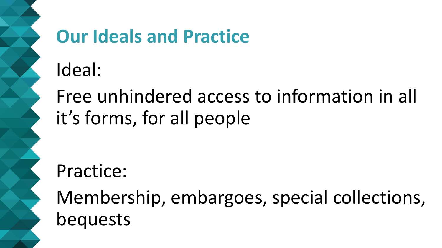# **Our Ideals and Practice**

Ideal:

Free unhindered access to information in all it's forms, for all people

# Practice:

Membership, embargoes, special collections, bequests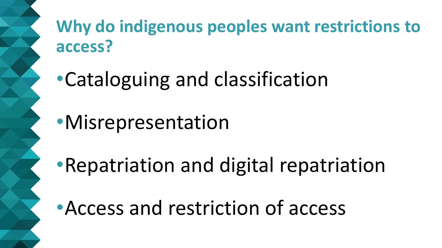## **Why do indigenous peoples want restrictions to access?**

- •Cataloguing and classification
- •Misrepresentation
- •Repatriation and digital repatriation
- •Access and restriction of access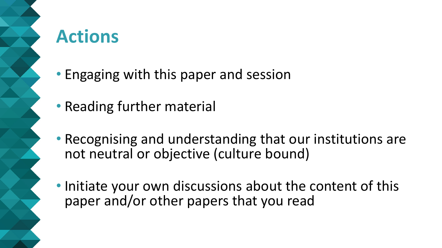

# **Actions**

- Engaging with this paper and session
- Reading further material
- Recognising and understanding that our institutions are not neutral or objective (culture bound)
- Initiate your own discussions about the content of this paper and/or other papers that you read